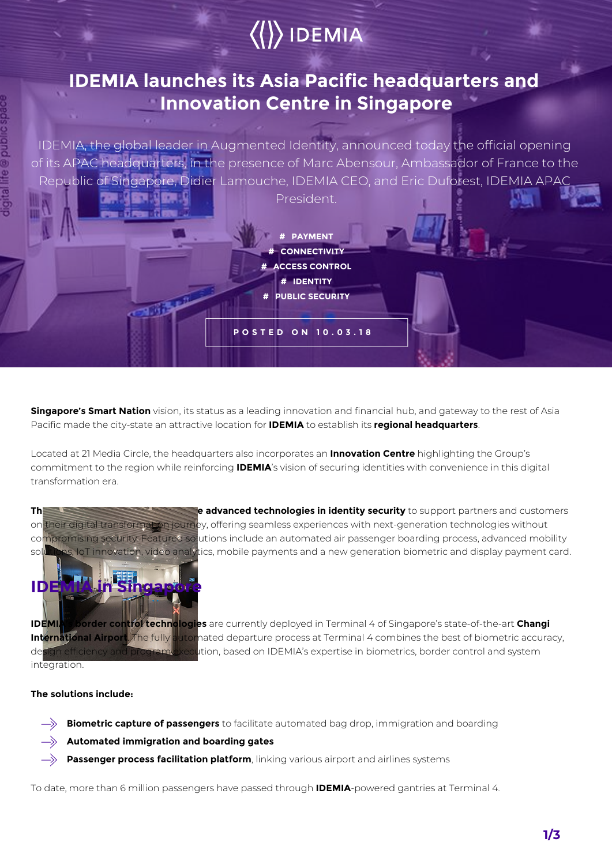# $\langle\langle\rangle\rangle$  IDEMIA

### **IDEMIA launches its Asia Pacific headquarters and Innovation Centre in Singapore**

IDEMIA, the global leader in Augmented Identity, announced today the official opening of its APAC headquarters, in the presence of Marc Abensour, Ambassador of France to the Republic of Singapore, Didier Lamouche, IDEMIA CEO, and Eric Duforest, IDEMIA APAC

President.

**# CONNECTIVITY # ACCESS CONTROL # IDENTITY**

**# PUBLIC SECURITY**

**# PAYMENT**

**POSTED ON 10.03.18**

**Singapore's Smart Nation** vision, its status as a leading innovation and financial hub, and gateway to the rest of Asia Pacific made the city-state an attractive location for **IDEMIA** to establish its **regional headquarters**.

Located at 21 Media Circle, the headquarters also incorporates an **Innovation Centre** highlighting the Group's commitment to the region while reinforcing **IDEMIA**'s vision of securing identities with convenience in this digital transformation era.

The Innovation Centre will show controlled **advanced technologies in identity security** to support partners and customers on their digital transformation journey, offering seamless experiences with next-generation technologies without compromising security. Featured solutions include an automated air passenger boarding process, advanced mobility solutions, IoT innovation, video analytics, mobile payments and a new generation biometric and display payment card.



**IDEMIA's border control technologies** are currently deployed in Terminal 4 of Singapore's state-of-the-art **Changi**  International Airport. The fully automated departure process at Terminal 4 combines the best of biometric accuracy, design efficiency and program execution, based on IDEMIA's expertise in biometrics, border control and system integration.

#### **The solutions include:**

- $\rightarrow$ **Biometric capture of passengers** to facilitate automated bag drop, immigration and boarding
- **Automated immigration and boarding gates**
- $\Rightarrow$ **Passenger process facilitation platform**, linking various airport and airlines systems

To date, more than 6 million passengers have passed through **IDEMIA**-powered gantries at Terminal 4.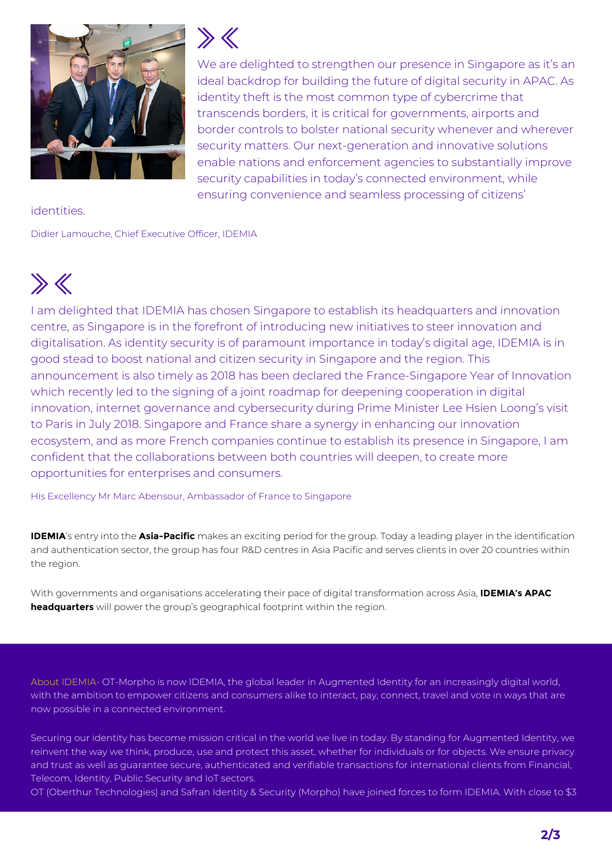

 $\gg \ll$ 

We are delighted to strengthen our presence in Singapore as it's an ideal backdrop for building the future of digital security in APAC. As identity theft is the most common type of cybercrime that transcends borders, it is critical for governments, airports and border controls to bolster national security whenever and wherever security matters. Our next-generation and innovative solutions enable nations and enforcement agencies to substantially improve security capabilities in today's connected environment, while ensuring convenience and seamless processing of citizens'

#### identities.

Didier Lamouche, Chief Executive Officer, IDEMIA

## $\gg K$

I am delighted that IDEMIA has chosen Singapore to establish its headquarters and innovation centre, as Singapore is in the forefront of introducing new initiatives to steer innovation and digitalisation. As identity security is of paramount importance in today's digital age, IDEMIA is in good stead to boost national and citizen security in Singapore and the region. This announcement is also timely as 2018 has been declared the France-Singapore Year of Innovation which recently led to the signing of a joint roadmap for deepening cooperation in digital innovation, internet governance and cybersecurity during Prime Minister Lee Hsien Loong's visit to Paris in July 2018. Singapore and France share a synergy in enhancing our innovation ecosystem, and as more French companies continue to establish its presence in Singapore, I am confident that the collaborations between both countries will deepen, to create more opportunities for enterprises and consumers.

His Excellency Mr Marc Abensour, Ambassador of France to Singapore

**IDEMIA**'s entry into the **Asia-Pacific** makes an exciting period for the group. Today a leading player in the identification and authentication sector, the group has four R&D centres in Asia Pacific and serves clients in over 20 countries within the region.

With governments and organisations accelerating their pace of digital transformation across Asia, **IDEMIA's APAC headquarters** will power the group's geographical footprint within the region.

About IDEMIA- OT-Morpho is now IDEMIA, the global leader in Augmented Identity for an increasingly digital world, with the ambition to empower citizens and consumers alike to interact, pay, connect, travel and vote in ways that are now possible in a connected environment.

Securing our identity has become mission critical in the world we live in today. By standing for Augmented Identity, we reinvent the way we think, produce, use and protect this asset, whether for individuals or for objects. We ensure privacy and trust as well as guarantee secure, authenticated and verifiable transactions for international clients from Financial, Telecom, Identity, Public Security and IoT sectors.

OT (Oberthur Technologies) and Safran Identity & Security (Morpho) have joined forces to form IDEMIA. With close to \$3